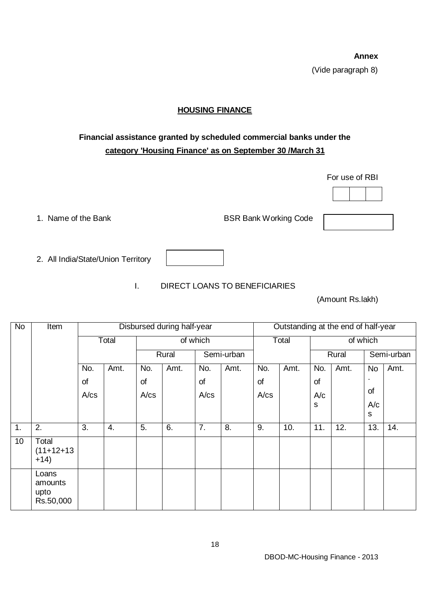**Annex** (Vide paragraph 8)

## **HOUSING FINANCE**

## **Financial assistance granted by scheduled commercial banks under the category 'Housing Finance' as on September 30 /March 31**

For use of RBI



1. Name of the Bank BSR Bank Working Code

2. All India/State/Union Territory

I. DIRECT LOANS TO BENEFICIARIES

(Amount Rs.lakh)

| <b>No</b> | Item                                  | Disbursed during half-year |      |          |      |            | Outstanding at the end of half-year |            |      |          |      |            |      |
|-----------|---------------------------------------|----------------------------|------|----------|------|------------|-------------------------------------|------------|------|----------|------|------------|------|
|           |                                       | Total                      |      | of which |      |            |                                     | Total      |      | of which |      |            |      |
|           |                                       |                            |      | Rural    |      | Semi-urban |                                     |            |      | Rural    |      | Semi-urban |      |
|           |                                       | No.                        | Amt. | No.      | Amt. | No.        | Amt.                                | No.        | Amt. | No.      | Amt. | No         | Amt. |
|           |                                       | of                         |      | of       |      | of         |                                     | of         |      | of       |      |            |      |
|           |                                       | A/cs                       |      | A/cs     |      | A/cs       |                                     | $A$ / $cs$ |      | A/c      |      | of         |      |
|           |                                       |                            |      |          |      |            |                                     |            |      | s        |      | A/c<br>s   |      |
|           |                                       |                            |      |          |      |            |                                     |            |      |          |      |            |      |
| 1.        | 2.                                    | 3.                         | 4.   | 5.       | 6.   | 7.         | 8.                                  | 9.         | 10.  | 11.      | 12.  | 13.        | 14.  |
| 10        | Total<br>$(11+12+13)$<br>$+14)$       |                            |      |          |      |            |                                     |            |      |          |      |            |      |
|           | Loans<br>amounts<br>upto<br>Rs.50,000 |                            |      |          |      |            |                                     |            |      |          |      |            |      |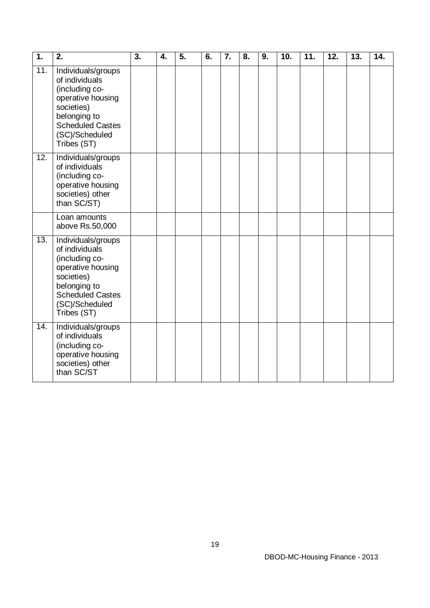| $\overline{1}$ . | 2.                                                                                                                                                                    | 3. | 4. | $\overline{5}$ . | 6. | 7. | 8. | 9. | 10. | 11. | 12. | 13. | 14. |
|------------------|-----------------------------------------------------------------------------------------------------------------------------------------------------------------------|----|----|------------------|----|----|----|----|-----|-----|-----|-----|-----|
| 11.              | Individuals/groups<br>of individuals<br>(including co-<br>operative housing<br>societies)<br>belonging to<br><b>Scheduled Castes</b><br>(SC)/Scheduled<br>Tribes (ST) |    |    |                  |    |    |    |    |     |     |     |     |     |
| 12.              | Individuals/groups<br>of individuals<br>(including co-<br>operative housing<br>societies) other<br>than SC/ST)                                                        |    |    |                  |    |    |    |    |     |     |     |     |     |
|                  | Loan amounts<br>above Rs.50,000                                                                                                                                       |    |    |                  |    |    |    |    |     |     |     |     |     |
| 13.              | Individuals/groups<br>of individuals<br>(including co-<br>operative housing<br>societies)<br>belonging to<br><b>Scheduled Castes</b><br>(SC)/Scheduled<br>Tribes (ST) |    |    |                  |    |    |    |    |     |     |     |     |     |
| 14.              | Individuals/groups<br>of individuals<br>(including co-<br>operative housing<br>societies) other<br>than SC/ST                                                         |    |    |                  |    |    |    |    |     |     |     |     |     |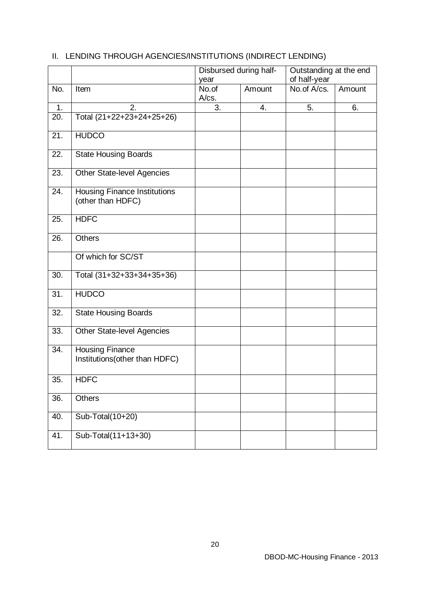|     |                                                          | year           | Disbursed during half- | Outstanding at the end<br>of half-year |        |  |
|-----|----------------------------------------------------------|----------------|------------------------|----------------------------------------|--------|--|
| No. | Item                                                     | No.of<br>A/cs. | Amount                 | No.of A/cs.                            | Amount |  |
| 1.  | 2.                                                       | 3.             | 4.                     | 5.                                     | 6.     |  |
| 20. | Total (21+22+23+24+25+26)                                |                |                        |                                        |        |  |
| 21. | <b>HUDCO</b>                                             |                |                        |                                        |        |  |
| 22. | <b>State Housing Boards</b>                              |                |                        |                                        |        |  |
| 23. | <b>Other State-level Agencies</b>                        |                |                        |                                        |        |  |
| 24. | <b>Housing Finance Institutions</b><br>(other than HDFC) |                |                        |                                        |        |  |
| 25. | <b>HDFC</b>                                              |                |                        |                                        |        |  |
| 26. | <b>Others</b>                                            |                |                        |                                        |        |  |
|     | Of which for SC/ST                                       |                |                        |                                        |        |  |
| 30. | Total (31+32+33+34+35+36)                                |                |                        |                                        |        |  |
| 31. | <b>HUDCO</b>                                             |                |                        |                                        |        |  |
| 32. | <b>State Housing Boards</b>                              |                |                        |                                        |        |  |
| 33. | <b>Other State-level Agencies</b>                        |                |                        |                                        |        |  |
| 34. | <b>Housing Finance</b><br>Institutions(other than HDFC)  |                |                        |                                        |        |  |
| 35. | <b>HDFC</b>                                              |                |                        |                                        |        |  |
| 36. | <b>Others</b>                                            |                |                        |                                        |        |  |
| 40. | Sub-Total(10+20)                                         |                |                        |                                        |        |  |
| 41. | Sub-Total(11+13+30)                                      |                |                        |                                        |        |  |

## II. LENDING THROUGH AGENCIES/INSTITUTIONS (INDIRECT LENDING)